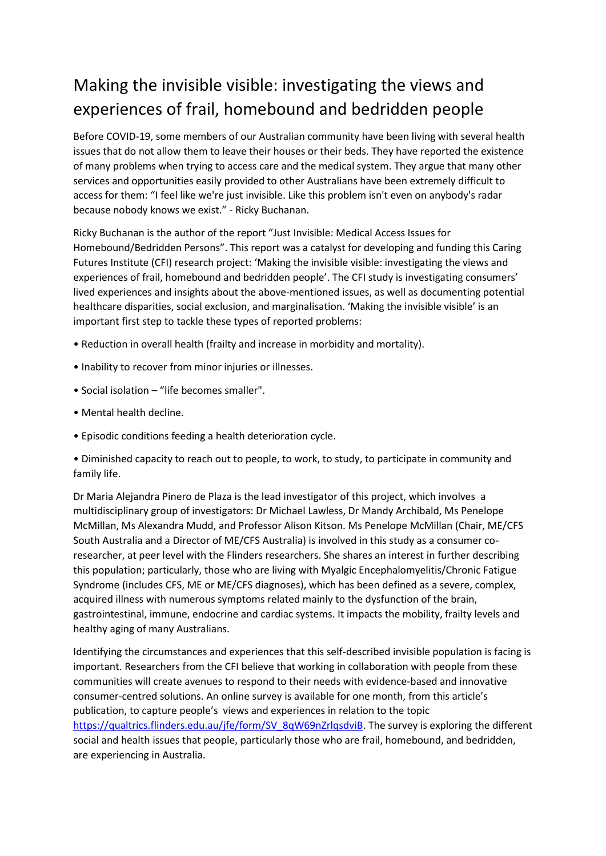## Making the invisible visible: investigating the views and experiences of frail, homebound and bedridden people

Before COVID-19, some members of our Australian community have been living with several health issues that do not allow them to leave their houses or their beds. They have reported the existence of many problems when trying to access care and the medical system. They argue that many other services and opportunities easily provided to other Australians have been extremely difficult to access for them: "I feel like we're just invisible. Like this problem isn't even on anybody's radar because nobody knows we exist." - Ricky Buchanan.

Ricky Buchanan is the author of the report "Just Invisible: Medical Access Issues for Homebound/Bedridden Persons". This report was a catalyst for developing and funding this Caring Futures Institute (CFI) research project: 'Making the invisible visible: investigating the views and experiences of frail, homebound and bedridden people'. The CFI study is investigating consumers' lived experiences and insights about the above-mentioned issues, as well as documenting potential healthcare disparities, social exclusion, and marginalisation. 'Making the invisible visible' is an important first step to tackle these types of reported problems:

- Reduction in overall health (frailty and increase in morbidity and mortality).
- Inability to recover from minor injuries or illnesses.
- Social isolation "life becomes smaller".
- Mental health decline.
- Episodic conditions feeding a health deterioration cycle.

• Diminished capacity to reach out to people, to work, to study, to participate in community and family life.

Dr Maria Alejandra Pinero de Plaza is the lead investigator of this project, which involves a multidisciplinary group of investigators: Dr Michael Lawless, Dr Mandy Archibald, Ms Penelope McMillan, Ms Alexandra Mudd, and Professor Alison Kitson. Ms Penelope McMillan (Chair, ME/CFS South Australia and a Director of ME/CFS Australia) is involved in this study as a consumer coresearcher, at peer level with the Flinders researchers. She shares an interest in further describing this population; particularly, those who are living with Myalgic Encephalomyelitis/Chronic Fatigue Syndrome (includes CFS, ME or ME/CFS diagnoses), which has been defined as a severe, complex, acquired illness with numerous symptoms related mainly to the dysfunction of the brain, gastrointestinal, immune, endocrine and cardiac systems. It impacts the mobility, frailty levels and healthy aging of many Australians.

Identifying the circumstances and experiences that this self-described invisible population is facing is important. Researchers from the CFI believe that working in collaboration with people from these communities will create avenues to respond to their needs with evidence-based and innovative consumer-centred solutions. An online survey is available for one month, from this article's publication, to capture people's views and experiences in relation to the topic [https://qualtrics.flinders.edu.au/jfe/form/SV\\_8qW69nZrlqsdviB.](https://qualtrics.flinders.edu.au/jfe/form/SV_8qW69nZrlqsdviB) The survey is exploring the different social and health issues that people, particularly those who are frail, homebound, and bedridden, are experiencing in Australia.